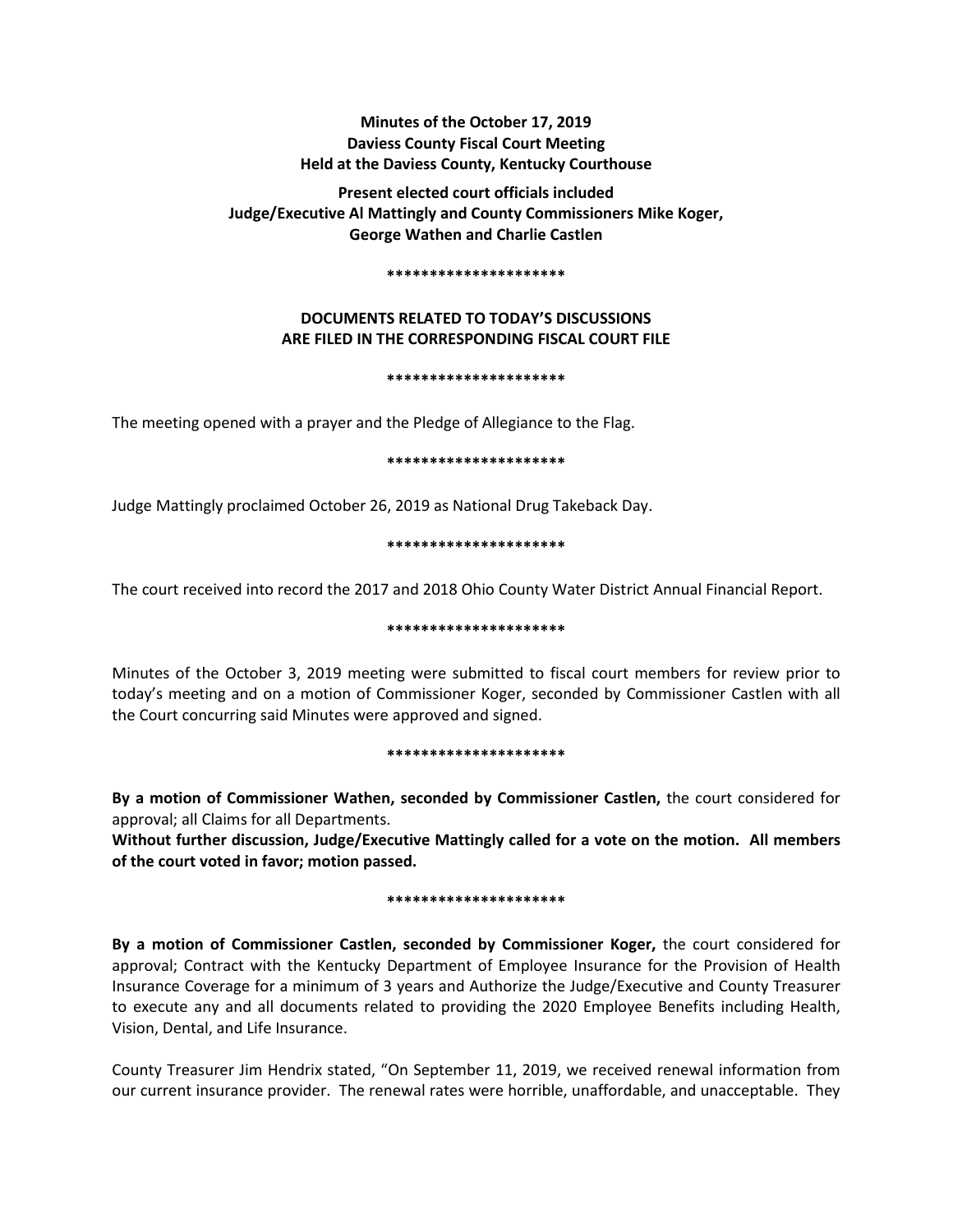# **Minutes of the October 17, 2019 Daviess County Fiscal Court Meeting Held at the Daviess County, Kentucky Courthouse**

**Present elected court officials included Judge/Executive Al Mattingly and County Commissioners Mike Koger, George Wathen and Charlie Castlen** 

## **\*\*\*\*\*\*\*\*\*\*\*\*\*\*\*\*\*\*\*\*\***

# **DOCUMENTS RELATED TO TODAY'S DISCUSSIONS ARE FILED IN THE CORRESPONDING FISCAL COURT FILE**

# **\*\*\*\*\*\*\*\*\*\*\*\*\*\*\*\*\*\*\*\*\***

The meeting opened with a prayer and the Pledge of Allegiance to the Flag.

# **\*\*\*\*\*\*\*\*\*\*\*\*\*\*\*\*\*\*\*\*\***

Judge Mattingly proclaimed October 26, 2019 as National Drug Takeback Day.

# **\*\*\*\*\*\*\*\*\*\*\*\*\*\*\*\*\*\*\*\*\***

The court received into record the 2017 and 2018 Ohio County Water District Annual Financial Report.

# **\*\*\*\*\*\*\*\*\*\*\*\*\*\*\*\*\*\*\*\*\***

Minutes of the October 3, 2019 meeting were submitted to fiscal court members for review prior to today's meeting and on a motion of Commissioner Koger, seconded by Commissioner Castlen with all the Court concurring said Minutes were approved and signed.

# **\*\*\*\*\*\*\*\*\*\*\*\*\*\*\*\*\*\*\*\*\***

**By a motion of Commissioner Wathen, seconded by Commissioner Castlen,** the court considered for approval; all Claims for all Departments.

**Without further discussion, Judge/Executive Mattingly called for a vote on the motion. All members of the court voted in favor; motion passed.** 

# **\*\*\*\*\*\*\*\*\*\*\*\*\*\*\*\*\*\*\*\*\***

**By a motion of Commissioner Castlen, seconded by Commissioner Koger,** the court considered for approval; Contract with the Kentucky Department of Employee Insurance for the Provision of Health Insurance Coverage for a minimum of 3 years and Authorize the Judge/Executive and County Treasurer to execute any and all documents related to providing the 2020 Employee Benefits including Health, Vision, Dental, and Life Insurance.

County Treasurer Jim Hendrix stated, "On September 11, 2019, we received renewal information from our current insurance provider. The renewal rates were horrible, unaffordable, and unacceptable. They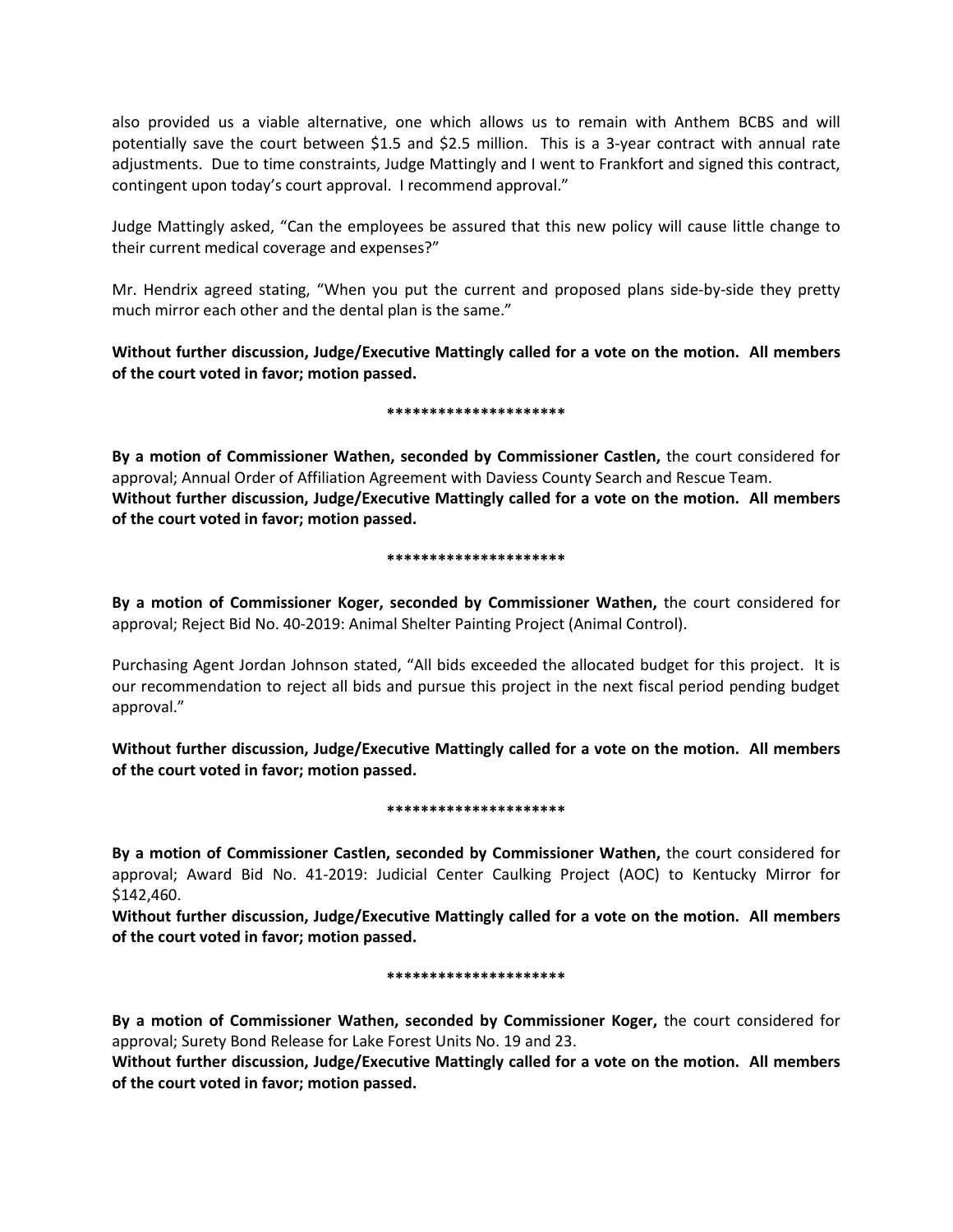also provided us a viable alternative, one which allows us to remain with Anthem BCBS and will potentially save the court between \$1.5 and \$2.5 million. This is a 3-year contract with annual rate adjustments. Due to time constraints, Judge Mattingly and I went to Frankfort and signed this contract, contingent upon today's court approval. I recommend approval."

Judge Mattingly asked, "Can the employees be assured that this new policy will cause little change to their current medical coverage and expenses?"

Mr. Hendrix agreed stating, "When you put the current and proposed plans side-by-side they pretty much mirror each other and the dental plan is the same."

**Without further discussion, Judge/Executive Mattingly called for a vote on the motion. All members of the court voted in favor; motion passed.** 

**\*\*\*\*\*\*\*\*\*\*\*\*\*\*\*\*\*\*\*\*\***

**By a motion of Commissioner Wathen, seconded by Commissioner Castlen,** the court considered for approval; Annual Order of Affiliation Agreement with Daviess County Search and Rescue Team. **Without further discussion, Judge/Executive Mattingly called for a vote on the motion. All members of the court voted in favor; motion passed.** 

# **\*\*\*\*\*\*\*\*\*\*\*\*\*\*\*\*\*\*\*\*\***

**By a motion of Commissioner Koger, seconded by Commissioner Wathen,** the court considered for approval; Reject Bid No. 40-2019: Animal Shelter Painting Project (Animal Control).

Purchasing Agent Jordan Johnson stated, "All bids exceeded the allocated budget for this project. It is our recommendation to reject all bids and pursue this project in the next fiscal period pending budget approval."

**Without further discussion, Judge/Executive Mattingly called for a vote on the motion. All members of the court voted in favor; motion passed.** 

# **\*\*\*\*\*\*\*\*\*\*\*\*\*\*\*\*\*\*\*\*\***

**By a motion of Commissioner Castlen, seconded by Commissioner Wathen,** the court considered for approval; Award Bid No. 41-2019: Judicial Center Caulking Project (AOC) to Kentucky Mirror for \$142,460.

**Without further discussion, Judge/Executive Mattingly called for a vote on the motion. All members of the court voted in favor; motion passed.**

# **\*\*\*\*\*\*\*\*\*\*\*\*\*\*\*\*\*\*\*\*\***

**By a motion of Commissioner Wathen, seconded by Commissioner Koger,** the court considered for approval; Surety Bond Release for Lake Forest Units No. 19 and 23.

**Without further discussion, Judge/Executive Mattingly called for a vote on the motion. All members of the court voted in favor; motion passed.**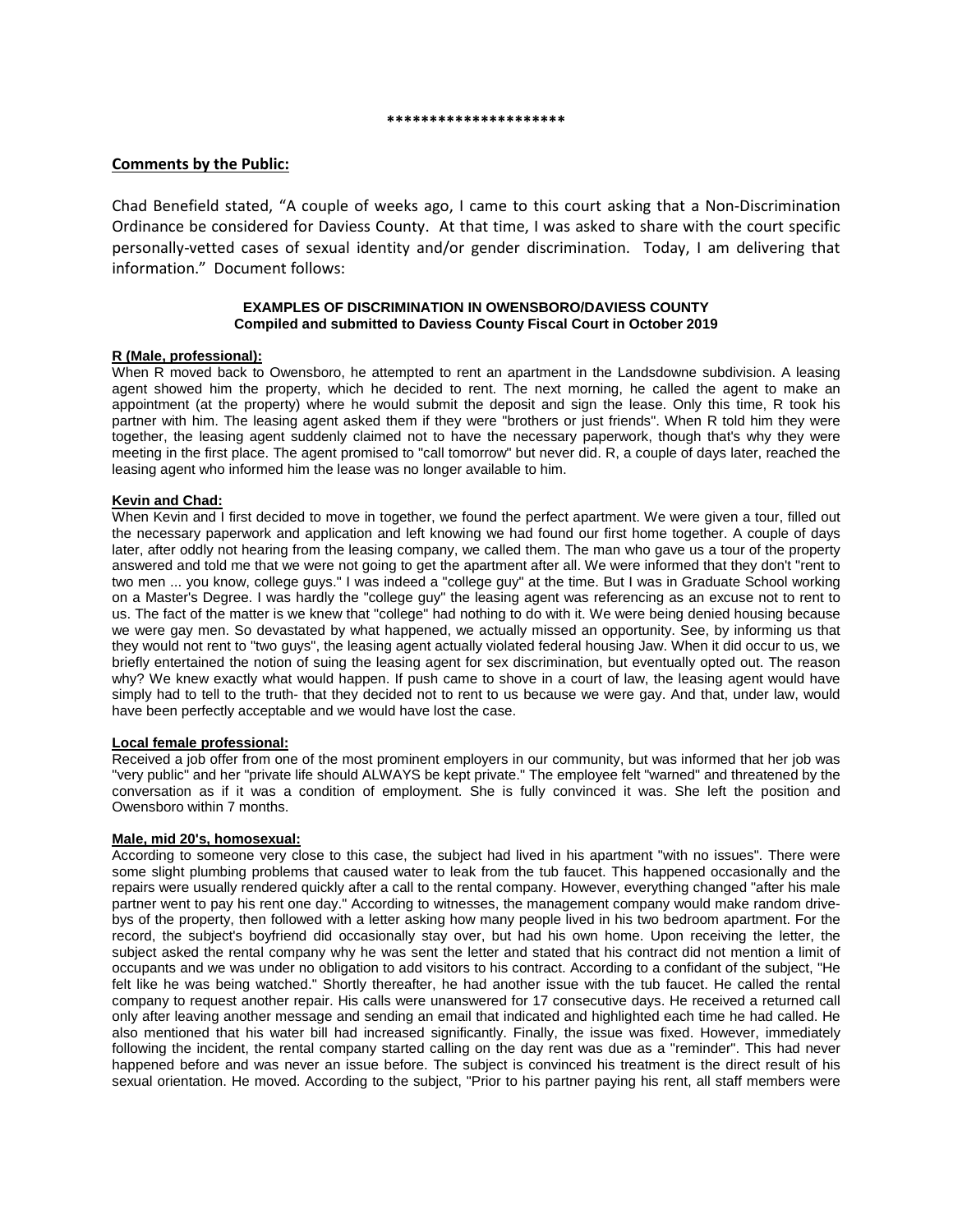#### **\*\*\*\*\*\*\*\*\*\*\*\*\*\*\*\*\*\*\*\*\***

# **Comments by the Public:**

Chad Benefield stated, "A couple of weeks ago, I came to this court asking that a Non-Discrimination Ordinance be considered for Daviess County. At that time, I was asked to share with the court specific personally-vetted cases of sexual identity and/or gender discrimination. Today, I am delivering that information." Document follows:

## **EXAMPLES OF DISCRIMINATION IN OWENSBORO/DAVIESS COUNTY Compiled and submitted to Daviess County Fiscal Court in October 2019**

# **R (Male, professional):**

When R moved back to Owensboro, he attempted to rent an apartment in the Landsdowne subdivision. A leasing agent showed him the property, which he decided to rent. The next morning, he called the agent to make an appointment (at the property) where he would submit the deposit and sign the lease. Only this time, R took his partner with him. The leasing agent asked them if they were "brothers or just friends". When R told him they were together, the leasing agent suddenly claimed not to have the necessary paperwork, though that's why they were meeting in the first place. The agent promised to "call tomorrow" but never did. R, a couple of days later, reached the leasing agent who informed him the lease was no longer available to him.

# **Kevin and Chad:**

When Kevin and I first decided to move in together, we found the perfect apartment. We were given a tour, filled out the necessary paperwork and application and left knowing we had found our first home together. A couple of days later, after oddly not hearing from the leasing company, we called them. The man who gave us a tour of the property answered and told me that we were not going to get the apartment after all. We were informed that they don't "rent to two men ... you know, college guys." I was indeed a "college guy" at the time. But I was in Graduate School working on a Master's Degree. I was hardly the "college guy" the leasing agent was referencing as an excuse not to rent to us. The fact of the matter is we knew that "college" had nothing to do with it. We were being denied housing because we were gay men. So devastated by what happened, we actually missed an opportunity. See, by informing us that they would not rent to "two guys", the leasing agent actually violated federal housing Jaw. When it did occur to us, we briefly entertained the notion of suing the leasing agent for sex discrimination, but eventually opted out. The reason why? We knew exactly what would happen. If push came to shove in a court of law, the leasing agent would have simply had to tell to the truth- that they decided not to rent to us because we were gay. And that, under law, would have been perfectly acceptable and we would have lost the case.

#### **Local female professional:**

Received a job offer from one of the most prominent employers in our community, but was informed that her job was "very public" and her "private life should ALWAYS be kept private." The employee felt "warned" and threatened by the conversation as if it was a condition of employment. She is fully convinced it was. She left the position and Owensboro within 7 months.

# **Male, mid 20's, homosexual:**

According to someone very close to this case, the subject had lived in his apartment "with no issues". There were some slight plumbing problems that caused water to leak from the tub faucet. This happened occasionally and the repairs were usually rendered quickly after a call to the rental company. However, everything changed "after his male partner went to pay his rent one day." According to witnesses, the management company would make random drivebys of the property, then followed with a letter asking how many people lived in his two bedroom apartment. For the record, the subject's boyfriend did occasionally stay over, but had his own home. Upon receiving the letter, the subject asked the rental company why he was sent the letter and stated that his contract did not mention a limit of occupants and we was under no obligation to add visitors to his contract. According to a confidant of the subject, "He felt like he was being watched." Shortly thereafter, he had another issue with the tub faucet. He called the rental company to request another repair. His calls were unanswered for 17 consecutive days. He received a returned call only after leaving another message and sending an email that indicated and highlighted each time he had called. He also mentioned that his water bill had increased significantly. Finally, the issue was fixed. However, immediately following the incident, the rental company started calling on the day rent was due as a "reminder". This had never happened before and was never an issue before. The subject is convinced his treatment is the direct result of his sexual orientation. He moved. According to the subject, "Prior to his partner paying his rent, all staff members were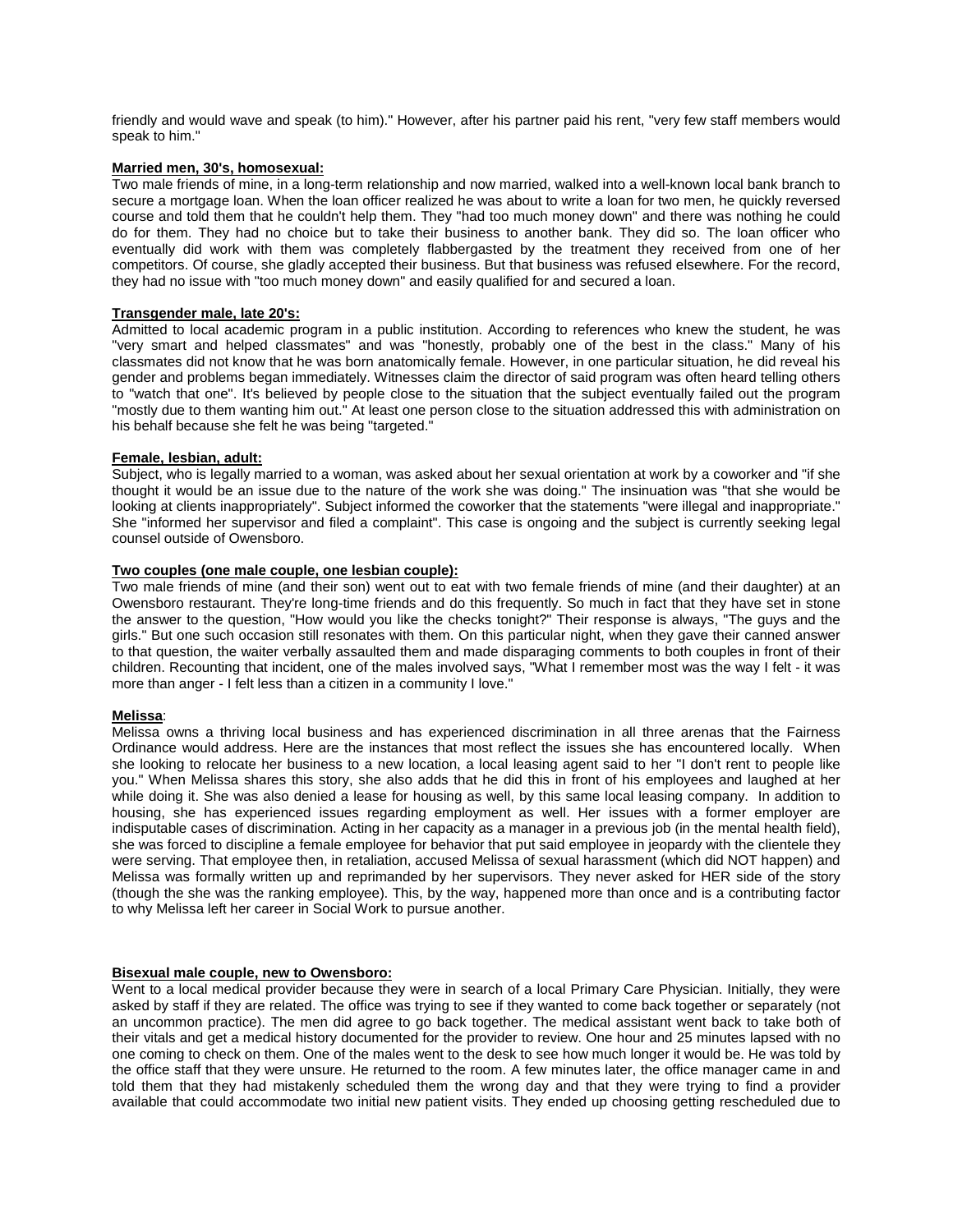friendly and would wave and speak (to him)." However, after his partner paid his rent, "very few staff members would speak to him."

## **Married men, 30's, homosexual:**

Two male friends of mine, in a long-term relationship and now married, walked into a well-known local bank branch to secure a mortgage loan. When the loan officer realized he was about to write a loan for two men, he quickly reversed course and told them that he couldn't help them. They "had too much money down" and there was nothing he could do for them. They had no choice but to take their business to another bank. They did so. The loan officer who eventually did work with them was completely flabbergasted by the treatment they received from one of her competitors. Of course, she gladly accepted their business. But that business was refused elsewhere. For the record, they had no issue with "too much money down" and easily qualified for and secured a loan.

#### **Transgender male, late 20's:**

Admitted to local academic program in a public institution. According to references who knew the student, he was "very smart and helped classmates" and was "honestly, probably one of the best in the class." Many of his classmates did not know that he was born anatomically female. However, in one particular situation, he did reveal his gender and problems began immediately. Witnesses claim the director of said program was often heard telling others to "watch that one". It's believed by people close to the situation that the subject eventually failed out the program "mostly due to them wanting him out." At least one person close to the situation addressed this with administration on his behalf because she felt he was being "targeted."

## **Female, lesbian, adult:**

Subject, who is legally married to a woman, was asked about her sexual orientation at work by a coworker and "if she thought it would be an issue due to the nature of the work she was doing." The insinuation was "that she would be looking at clients inappropriately". Subject informed the coworker that the statements "were illegal and inappropriate." She "informed her supervisor and filed a complaint". This case is ongoing and the subject is currently seeking legal counsel outside of Owensboro.

## **Two couples (one male couple, one lesbian couple):**

Two male friends of mine (and their son) went out to eat with two female friends of mine (and their daughter) at an Owensboro restaurant. They're long-time friends and do this frequently. So much in fact that they have set in stone the answer to the question, "How would you like the checks tonight?" Their response is always, "The guys and the girls." But one such occasion still resonates with them. On this particular night, when they gave their canned answer to that question, the waiter verbally assaulted them and made disparaging comments to both couples in front of their children. Recounting that incident, one of the males involved says, "What I remember most was the way I felt - it was more than anger - I felt less than a citizen in a community I love."

#### **Melissa**:

Melissa owns a thriving local business and has experienced discrimination in all three arenas that the Fairness Ordinance would address. Here are the instances that most reflect the issues she has encountered locally. When she looking to relocate her business to a new location, a local leasing agent said to her "I don't rent to people like you." When Melissa shares this story, she also adds that he did this in front of his employees and laughed at her while doing it. She was also denied a lease for housing as well, by this same local leasing company. In addition to housing, she has experienced issues regarding employment as well. Her issues with a former employer are indisputable cases of discrimination. Acting in her capacity as a manager in a previous job (in the mental health field), she was forced to discipline a female employee for behavior that put said employee in jeopardy with the clientele they were serving. That employee then, in retaliation, accused Melissa of sexual harassment (which did NOT happen) and Melissa was formally written up and reprimanded by her supervisors. They never asked for HER side of the story (though the she was the ranking employee). This, by the way, happened more than once and is a contributing factor to why Melissa left her career in Social Work to pursue another.

#### **Bisexual male couple, new to Owensboro:**

Went to a local medical provider because they were in search of a local Primary Care Physician. Initially, they were asked by staff if they are related. The office was trying to see if they wanted to come back together or separately (not an uncommon practice). The men did agree to go back together. The medical assistant went back to take both of their vitals and get a medical history documented for the provider to review. One hour and 25 minutes lapsed with no one coming to check on them. One of the males went to the desk to see how much longer it would be. He was told by the office staff that they were unsure. He returned to the room. A few minutes later, the office manager came in and told them that they had mistakenly scheduled them the wrong day and that they were trying to find a provider available that could accommodate two initial new patient visits. They ended up choosing getting rescheduled due to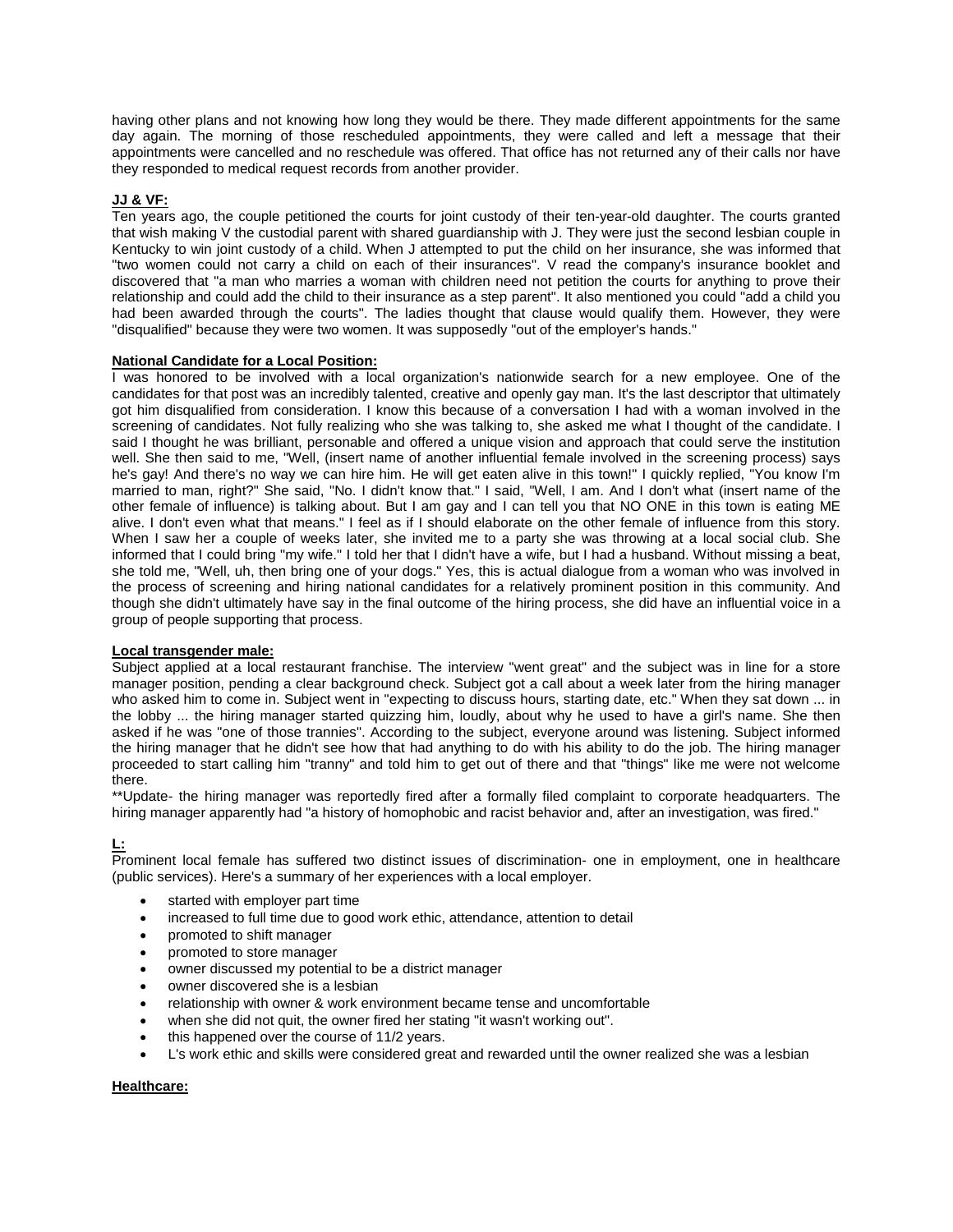having other plans and not knowing how long they would be there. They made different appointments for the same day again. The morning of those rescheduled appointments, they were called and left a message that their appointments were cancelled and no reschedule was offered. That office has not returned any of their calls nor have they responded to medical request records from another provider.

# **JJ & VF:**

Ten years ago, the couple petitioned the courts for joint custody of their ten-year-old daughter. The courts granted that wish making V the custodial parent with shared guardianship with J. They were just the second lesbian couple in Kentucky to win joint custody of a child. When J attempted to put the child on her insurance, she was informed that "two women could not carry a child on each of their insurances". V read the company's insurance booklet and discovered that "a man who marries a woman with children need not petition the courts for anything to prove their relationship and could add the child to their insurance as a step parent". It also mentioned you could "add a child you had been awarded through the courts". The ladies thought that clause would qualify them. However, they were "disqualified" because they were two women. It was supposedly "out of the employer's hands."

# **National Candidate for a Local Position:**

I was honored to be involved with a local organization's nationwide search for a new employee. One of the candidates for that post was an incredibly talented, creative and openly gay man. It's the last descriptor that ultimately got him disqualified from consideration. I know this because of a conversation I had with a woman involved in the screening of candidates. Not fully realizing who she was talking to, she asked me what I thought of the candidate. I said I thought he was brilliant, personable and offered a unique vision and approach that could serve the institution well. She then said to me, "Well, (insert name of another influential female involved in the screening process) says he's gay! And there's no way we can hire him. He will get eaten alive in this town!" I quickly replied, "You know I'm married to man, right?" She said, "No. I didn't know that." I said, "Well, I am. And I don't what (insert name of the other female of influence) is talking about. But I am gay and I can tell you that NO ONE in this town is eating ME alive. I don't even what that means." I feel as if I should elaborate on the other female of influence from this story. When I saw her a couple of weeks later, she invited me to a party she was throwing at a local social club. She informed that I could bring "my wife." I told her that I didn't have a wife, but I had a husband. Without missing a beat, she told me, "Well, uh, then bring one of your dogs." Yes, this is actual dialogue from a woman who was involved in the process of screening and hiring national candidates for a relatively prominent position in this community. And though she didn't ultimately have say in the final outcome of the hiring process, she did have an influential voice in a group of people supporting that process.

# **Local transgender male:**

Subject applied at a local restaurant franchise. The interview "went great" and the subject was in line for a store manager position, pending a clear background check. Subject got a call about a week later from the hiring manager who asked him to come in. Subject went in "expecting to discuss hours, starting date, etc." When they sat down ... in the lobby ... the hiring manager started quizzing him, loudly, about why he used to have a girl's name. She then asked if he was "one of those trannies". According to the subject, everyone around was listening. Subject informed the hiring manager that he didn't see how that had anything to do with his ability to do the job. The hiring manager proceeded to start calling him "tranny" and told him to get out of there and that "things" like me were not welcome there.

\*\*Update- the hiring manager was reportedly fired after a formally filed complaint to corporate headquarters. The hiring manager apparently had "a history of homophobic and racist behavior and, after an investigation, was fired."

# **L:**

Prominent local female has suffered two distinct issues of discrimination- one in employment, one in healthcare (public services). Here's a summary of her experiences with a local employer.

- started with employer part time
- increased to full time due to good work ethic, attendance, attention to detail
- promoted to shift manager
- promoted to store manager
- owner discussed my potential to be a district manager
- owner discovered she is a lesbian
- relationship with owner & work environment became tense and uncomfortable
- when she did not quit, the owner fired her stating "it wasn't working out".
- this happened over the course of 11/2 years.
- L's work ethic and skills were considered great and rewarded until the owner realized she was a lesbian

# **Healthcare:**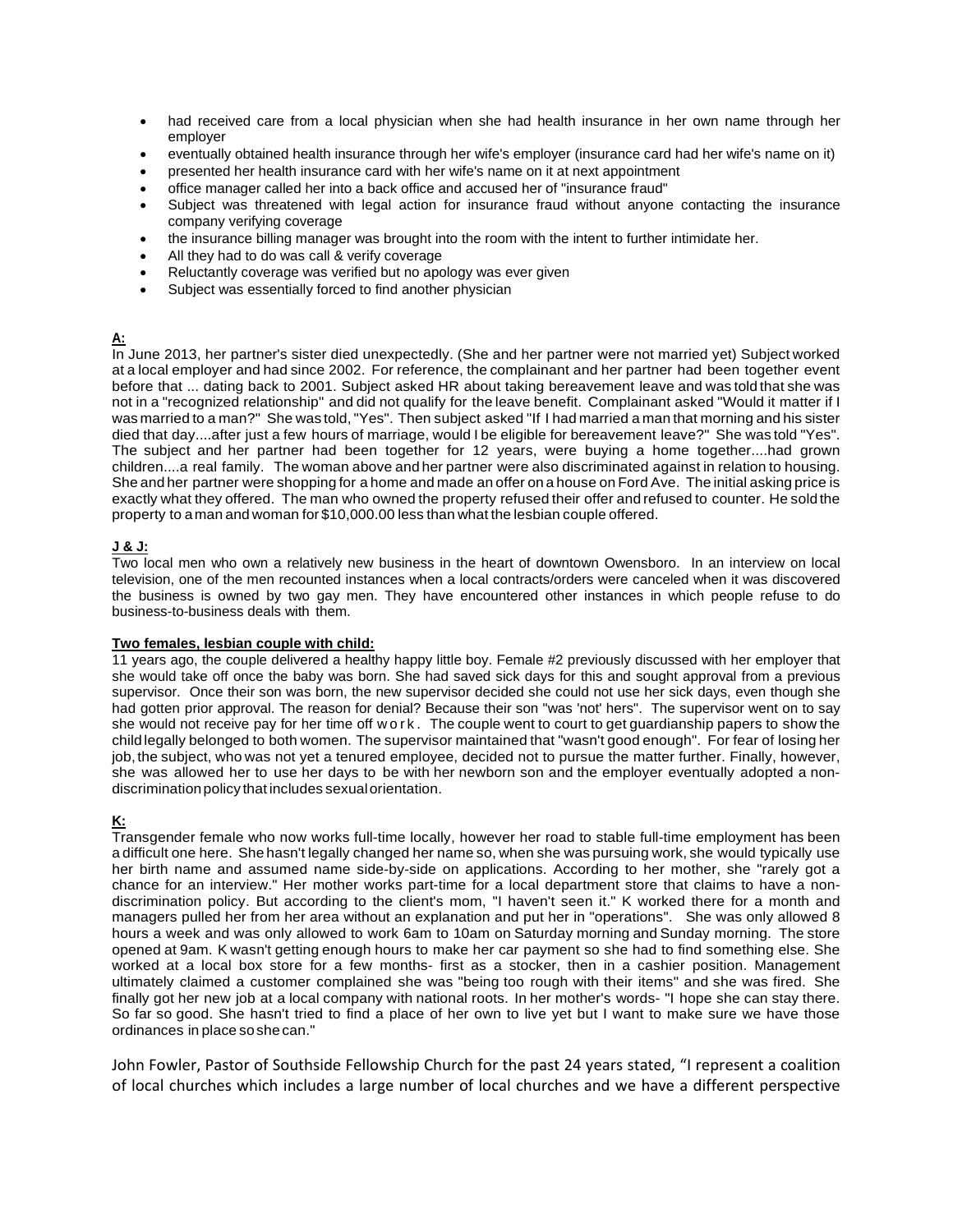- had received care from a local physician when she had health insurance in her own name through her employer
- eventually obtained health insurance through her wife's employer (insurance card had her wife's name on it)
- presented her health insurance card with her wife's name on it at next appointment
- office manager called her into a back office and accused her of "insurance fraud"
- Subject was threatened with legal action for insurance fraud without anyone contacting the insurance company verifying coverage
- the insurance billing manager was brought into the room with the intent to further intimidate her.
- All they had to do was call & verify coverage
- Reluctantly coverage was verified but no apology was ever given
- Subject was essentially forced to find another physician

# **A:**

In June 2013, her partner's sister died unexpectedly. (She and her partner were not married yet) Subject worked at a local employer and had since 2002. For reference, the complainant and her partner had been together event before that ... dating back to 2001. Subject asked HR about taking bereavement leave and was told that she was not in a "recognized relationship" and did not qualify for the leave benefit. Complainant asked "Would it matter if I was married to a man?" She was told,"Yes". Then subject asked "If I had married a man that morning and his sister died that day....after just a few hours of marriage, would I be eligible for bereavement leave?" She was told "Yes". The subject and her partner had been together for 12 years, were buying a home together....had grown children....a real family. The woman above and her partner were also discriminated against in relation to housing. She and her partner were shopping for a home and made an offer on a house on Ford Ave. The initial asking price is exactly what they offered. The man who owned the property refused their offer and refused to counter. He sold the property to aman and woman for \$10,000.00 less than what the lesbian couple offered.

# **J & J:**

Two local men who own a relatively new business in the heart of downtown Owensboro. In an interview on local television, one of the men recounted instances when a local contracts/orders were canceled when it was discovered the business is owned by two gay men. They have encountered other instances in which people refuse to do business-to-business deals with them.

# **Two females, lesbian couple with child:**

11 years ago, the couple delivered a healthy happy little boy. Female #2 previously discussed with her employer that she would take off once the baby was born. She had saved sick days for this and sought approval from a previous supervisor. Once their son was born, the new supervisor decided she could not use her sick days, even though she had gotten prior approval. The reason for denial? Because their son "was 'not' hers". The supervisor went on to say she would not receive pay for her time off work . The couple went to court to get guardianship papers to show the child legally belonged to both women. The supervisor maintained that "wasn't good enough". For fear of losing her job,the subject, who was not yet a tenured employee, decided not to pursue the matter further. Finally, however, she was allowed her to use her days to be with her newborn son and the employer eventually adopted a nondiscriminationpolicy that includes sexualorientation.

# **K:**

Transgender female who now works full-time locally, however her road to stable full-time employment has been a difficult one here. She hasn't legally changed her name so, when she was pursuing work, she would typically use her birth name and assumed name side-by-side on applications. According to her mother, she "rarely got a chance for an interview." Her mother works part-time for a local department store that claims to have a nondiscrimination policy. But according to the client's mom, "I haven't seen it." K worked there for a month and managers pulled her from her area without an explanation and put her in "operations". She was only allowed 8 hours a week and was only allowed to work 6am to 10am on Saturday morning and Sunday morning. The store opened at 9am. K wasn't getting enough hours to make her car payment so she had to find something else. She worked at a local box store for a few months- first as a stocker, then in a cashier position. Management ultimately claimed a customer complained she was "being too rough with their items" and she was fired. She finally got her new job at a local company with national roots. In her mother's words- "I hope she can stay there. So far so good. She hasn't tried to find a place of her own to live yet but I want to make sure we have those ordinances in place soshe can."

John Fowler, Pastor of Southside Fellowship Church for the past 24 years stated, "I represent a coalition of local churches which includes a large number of local churches and we have a different perspective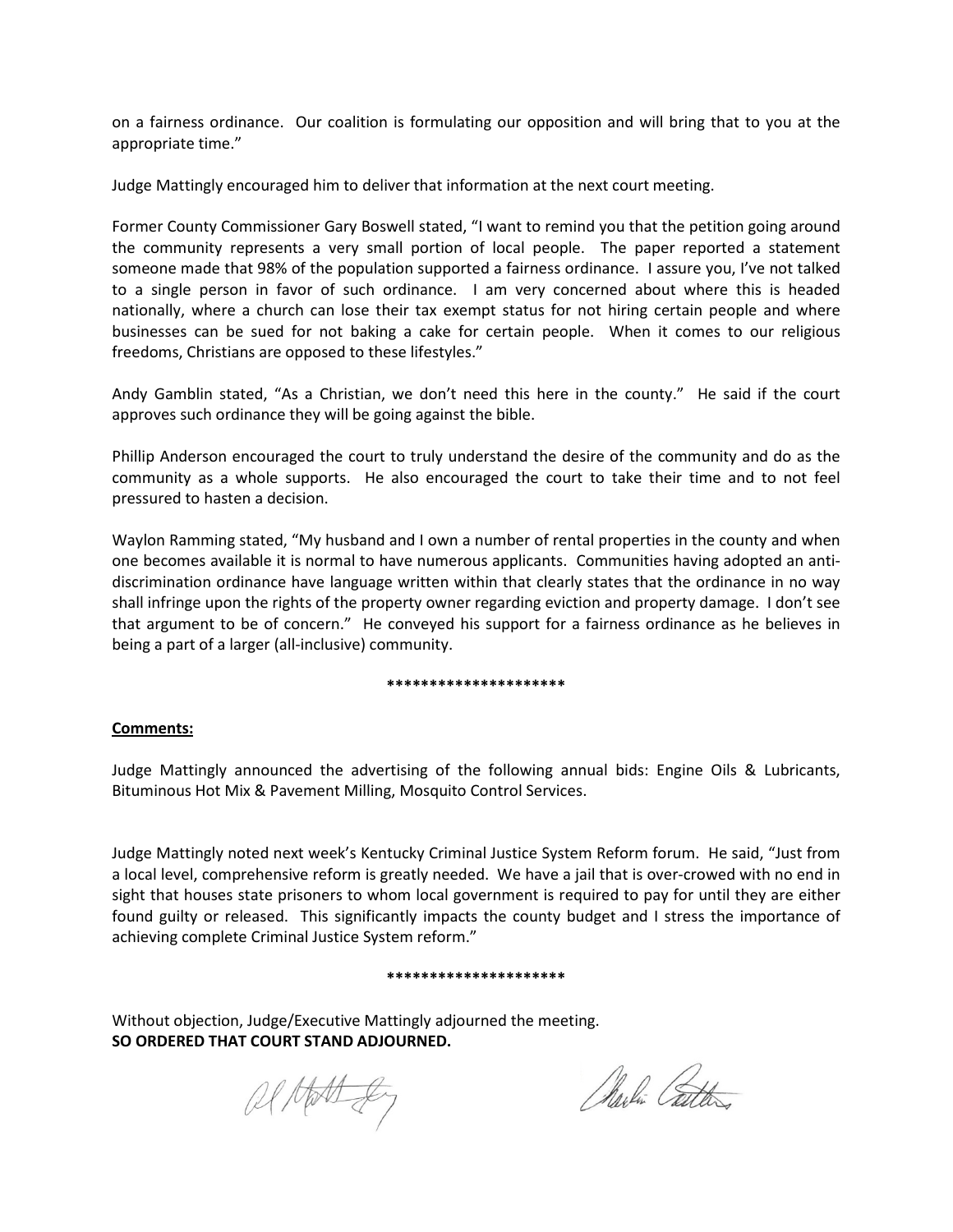on a fairness ordinance. Our coalition is formulating our opposition and will bring that to you at the appropriate time."

Judge Mattingly encouraged him to deliver that information at the next court meeting.

Former County Commissioner Gary Boswell stated, "I want to remind you that the petition going around the community represents a very small portion of local people. The paper reported a statement someone made that 98% of the population supported a fairness ordinance. I assure you, I've not talked to a single person in favor of such ordinance. I am very concerned about where this is headed nationally, where a church can lose their tax exempt status for not hiring certain people and where businesses can be sued for not baking a cake for certain people. When it comes to our religious freedoms, Christians are opposed to these lifestyles."

Andy Gamblin stated, "As a Christian, we don't need this here in the county." He said if the court approves such ordinance they will be going against the bible.

Phillip Anderson encouraged the court to truly understand the desire of the community and do as the community as a whole supports. He also encouraged the court to take their time and to not feel pressured to hasten a decision.

Waylon Ramming stated, "My husband and I own a number of rental properties in the county and when one becomes available it is normal to have numerous applicants. Communities having adopted an antidiscrimination ordinance have language written within that clearly states that the ordinance in no way shall infringe upon the rights of the property owner regarding eviction and property damage. I don't see that argument to be of concern." He conveyed his support for a fairness ordinance as he believes in being a part of a larger (all-inclusive) community.

# **\*\*\*\*\*\*\*\*\*\*\*\*\*\*\*\*\*\*\*\*\***

# **Comments:**

Judge Mattingly announced the advertising of the following annual bids: Engine Oils & Lubricants, Bituminous Hot Mix & Pavement Milling, Mosquito Control Services.

Judge Mattingly noted next week's Kentucky Criminal Justice System Reform forum. He said, "Just from a local level, comprehensive reform is greatly needed. We have a jail that is over-crowed with no end in sight that houses state prisoners to whom local government is required to pay for until they are either found guilty or released. This significantly impacts the county budget and I stress the importance of achieving complete Criminal Justice System reform."

# **\*\*\*\*\*\*\*\*\*\*\*\*\*\*\*\*\*\*\*\*\***

Without objection, Judge/Executive Mattingly adjourned the meeting. **SO ORDERED THAT COURT STAND ADJOURNED.**

al Hotely

Marlin Catter